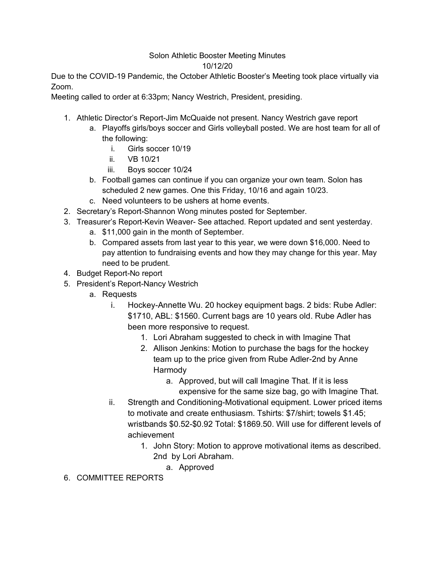## Solon Athletic Booster Meeting Minutes 10/12/20

Due to the COVID-19 Pandemic, the October Athletic Booster's Meeting took place virtually via Zoom.

Meeting called to order at 6:33pm; Nancy Westrich, President, presiding.

- 1. Athletic Director's Report-Jim McQuaide not present. Nancy Westrich gave report
	- a. Playoffs girls/boys soccer and Girls volleyball posted. We are host team for all of the following:
		- i. Girls soccer 10/19
		- ii. VB 10/21
		- iii. Boys soccer 10/24
	- b. Football games can continue if you can organize your own team. Solon has scheduled 2 new games. One this Friday, 10/16 and again 10/23.
	- c. Need volunteers to be ushers at home events.
- 2. Secretary's Report-Shannon Wong minutes posted for September.
- 3. Treasurer's Report-Kevin Weaver- See attached. Report updated and sent yesterday.
	- a. \$11,000 gain in the month of September.
	- b. Compared assets from last year to this year, we were down \$16,000. Need to pay attention to fundraising events and how they may change for this year. May need to be prudent.
- 4. Budget Report-No report
- 5. President's Report-Nancy Westrich
	- a. Requests
		- i. Hockey-Annette Wu. 20 hockey equipment bags. 2 bids: Rube Adler: \$1710, ABL: \$1560. Current bags are 10 years old. Rube Adler has been more responsive to request.
			- 1. Lori Abraham suggested to check in with Imagine That
			- 2. Allison Jenkins: Motion to purchase the bags for the hockey team up to the price given from Rube Adler-2nd by Anne Harmody
				- a. Approved, but will call Imagine That. If it is less expensive for the same size bag, go with Imagine That.
		- ii. Strength and Conditioning-Motivational equipment. Lower priced items to motivate and create enthusiasm. Tshirts: \$7/shirt; towels \$1.45; wristbands \$0.52-\$0.92 Total: \$1869.50. Will use for different levels of achievement
			- 1. John Story: Motion to approve motivational items as described. 2nd by Lori Abraham.
				- a. Approved
- 6. COMMITTEE REPORTS